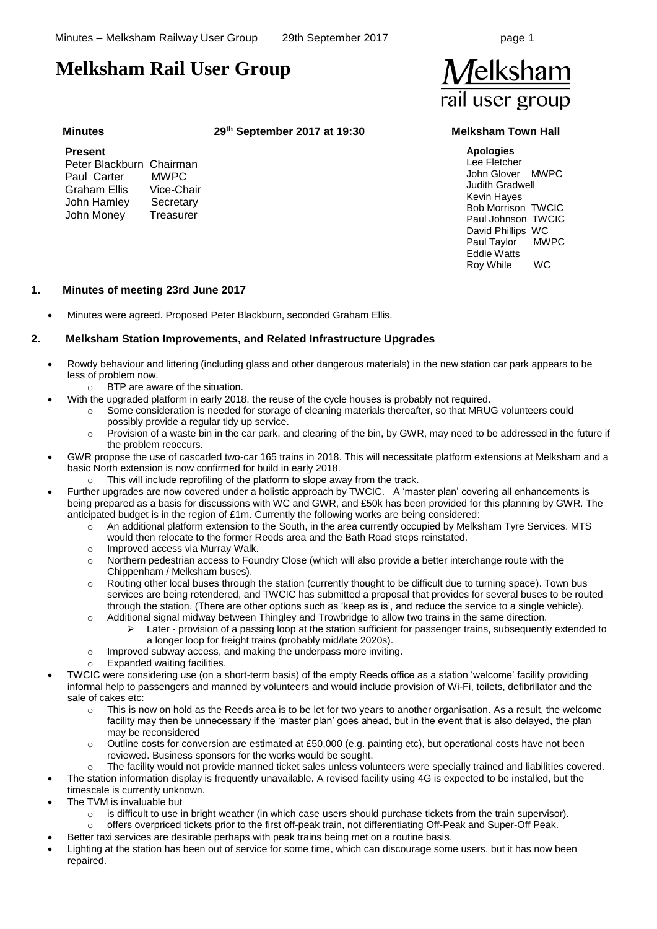# **Melksham Rail User Group**

**Minutes 29th September 2017 at 19:30 Melksham Town Hall**

#### **Present**

| Peter Blackburn Chairman |             |
|--------------------------|-------------|
| Paul Carter              | <b>MWPC</b> |
| Graham Ellis             | Vice-Chair  |
| John Hamley              | Secretary   |
| John Money               | Treasurer   |
|                          |             |

**Apologies** Lee Fletcher John Glover MWPC Judith Gradwell Kevin Hayes Bob Morrison TWCIC Paul Johnson TWCIC David Phillips WC Paul Taylor MWPC Eddie Watts Roy While WC

### **1. Minutes of meeting 23rd June 2017**

• Minutes were agreed. Proposed Peter Blackburn, seconded Graham Ellis.

### **2. Melksham Station Improvements, and Related Infrastructure Upgrades**

- Rowdy behaviour and littering (including glass and other dangerous materials) in the new station car park appears to be less of problem now.
	- o BTP are aware of the situation.
	- With the upgraded platform in early 2018, the reuse of the cycle houses is probably not required.
		- o Some consideration is needed for storage of cleaning materials thereafter, so that MRUG volunteers could possibly provide a regular tidy up service.
		- $\circ$  Provision of a waste bin in the car park, and clearing of the bin, by GWR, may need to be addressed in the future if the problem reoccurs.
	- GWR propose the use of cascaded two-car 165 trains in 2018. This will necessitate platform extensions at Melksham and a basic North extension is now confirmed for build in early 2018.
		- o This will include reprofiling of the platform to slope away from the track.
- Further upgrades are now covered under a holistic approach by TWCIC. A 'master plan' covering all enhancements is being prepared as a basis for discussions with WC and GWR, and £50k has been provided for this planning by GWR. The anticipated budget is in the region of £1m. Currently the following works are being considered:
	- An additional platform extension to the South, in the area currently occupied by Melksham Tyre Services. MTS would then relocate to the former Reeds area and the Bath Road steps reinstated.
	- o Improved access via Murray Walk.
	- o Northern pedestrian access to Foundry Close (which will also provide a better interchange route with the Chippenham / Melksham buses).
	- o Routing other local buses through the station (currently thought to be difficult due to turning space). Town bus services are being retendered, and TWCIC has submitted a proposal that provides for several buses to be routed through the station. (There are other options such as 'keep as is', and reduce the service to a single vehicle).
	- o Additional signal midway between Thingley and Trowbridge to allow two trains in the same direction. Later - provision of a passing loop at the station sufficient for passenger trains, subsequently extended to
		- a longer loop for freight trains (probably mid/late 2020s).
	- o Improved subway access, and making the underpass more inviting.
	- o Expanded waiting facilities.
- TWCIC were considering use (on a short-term basis) of the empty Reeds office as a station 'welcome' facility providing informal help to passengers and manned by volunteers and would include provision of Wi-Fi, toilets, defibrillator and the sale of cakes etc:
	- $\circ$  This is now on hold as the Reeds area is to be let for two years to another organisation. As a result, the welcome facility may then be unnecessary if the 'master plan' goes ahead, but in the event that is also delayed, the plan may be reconsidered
	- $\circ$  Outline costs for conversion are estimated at £50,000 (e.g. painting etc), but operational costs have not been reviewed. Business sponsors for the works would be sought.
	- The facility would not provide manned ticket sales unless volunteers were specially trained and liabilities covered.
- The station information display is frequently unavailable. A revised facility using 4G is expected to be installed, but the timescale is currently unknown.
- The TVM is invaluable but
	- $\circ$  is difficult to use in bright weather (in which case users should purchase tickets from the train supervisor).
	- o offers overpriced tickets prior to the first off-peak train, not differentiating Off-Peak and Super-Off Peak.
- Better taxi services are desirable perhaps with peak trains being met on a routine basis.
- Lighting at the station has been out of service for some time, which can discourage some users, but it has now been repaired.

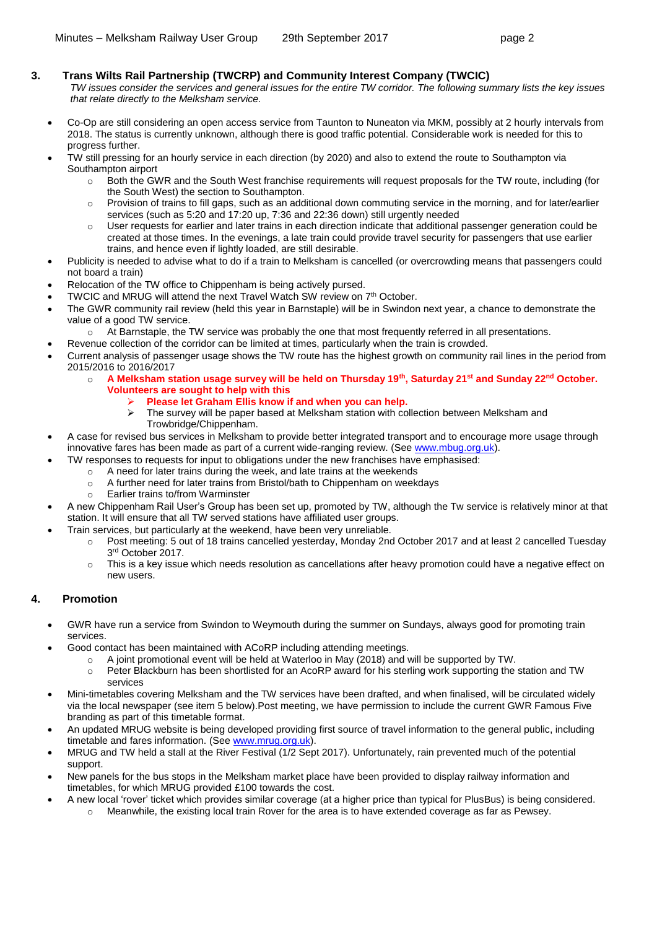### **3. Trans Wilts Rail Partnership (TWCRP) and Community Interest Company (TWCIC)**

- *TW issues consider the services and general issues for the entire TW corridor. The following summary lists the key issues that relate directly to the Melksham service.*
- Co-Op are still considering an open access service from Taunton to Nuneaton via MKM, possibly at 2 hourly intervals from 2018. The status is currently unknown, although there is good traffic potential. Considerable work is needed for this to progress further.
- TW still pressing for an hourly service in each direction (by 2020) and also to extend the route to Southampton via Southampton airport
	- o Both the GWR and the South West franchise requirements will request proposals for the TW route, including (for the South West) the section to Southampton.
	- Provision of trains to fill gaps, such as an additional down commuting service in the morning, and for later/earlier services (such as 5:20 and 17:20 up, 7:36 and 22:36 down) still urgently needed
	- o User requests for earlier and later trains in each direction indicate that additional passenger generation could be created at those times. In the evenings, a late train could provide travel security for passengers that use earlier trains, and hence even if lightly loaded, are still desirable.
- Publicity is needed to advise what to do if a train to Melksham is cancelled (or overcrowding means that passengers could not board a train)
- Relocation of the TW office to Chippenham is being actively pursed.
- TWCIC and MRUG will attend the next Travel Watch SW review on 7<sup>th</sup> October.
- The GWR community rail review (held this year in Barnstaple) will be in Swindon next year, a chance to demonstrate the value of a good TW service.
	- o At Barnstaple, the TW service was probably the one that most frequently referred in all presentations.
	- Revenue collection of the corridor can be limited at times, particularly when the train is crowded.
- Current analysis of passenger usage shows the TW route has the highest growth on community rail lines in the period from 2015/2016 to 2016/2017
	- o **A Melksham station usage survey will be held on Thursday 19th, Saturday 21st and Sunday 22nd October. Volunteers are sought to help with this**
		- ➢ **Please let Graham Ellis know if and when you can help.**
		- The survey will be paper based at Melksham station with collection between Melksham and Trowbridge/Chippenham.
- A case for revised bus services in Melksham to provide better integrated transport and to encourage more usage through innovative fares has been made as part of a current wide-ranging review. (See [www.mbug.org.uk\)](http://www.mbug.org.uk/).
	- TW responses to requests for input to obligations under the new franchises have emphasised:
		- $\circ$  A need for later trains during the week, and late trains at the weekends
		- o A further need for later trains from Bristol/bath to Chippenham on weekdays
		- Earlier trains to/from Warminster
- A new Chippenham Rail User's Group has been set up, promoted by TW, although the Tw service is relatively minor at that station. It will ensure that all TW served stations have affiliated user groups.
- Train services, but particularly at the weekend, have been very unreliable.
	- o Post meeting: 5 out of 18 trains cancelled yesterday, Monday 2nd October 2017 and at least 2 cancelled Tuesday 3 rd October 2017.
	- $\circ$  This is a key issue which needs resolution as cancellations after heavy promotion could have a negative effect on new users.

## **4. Promotion**

- GWR have run a service from Swindon to Weymouth during the summer on Sundays, always good for promoting train services.
	- Good contact has been maintained with ACoRP including attending meetings.
		- $\circ$  A joint promotional event will be held at Waterloo in May (2018) and will be supported by TW.
		- o Peter Blackburn has been shortlisted for an AcoRP award for his sterling work supporting the station and TW services
- Mini-timetables covering Melksham and the TW services have been drafted, and when finalised, will be circulated widely via the local newspaper (see item [5](#page-2-0) below).Post meeting, we have permission to include the current GWR Famous Five branding as part of this timetable format.
- An updated MRUG website is being developed providing first source of travel information to the general public, including timetable and fares information. (See [www.mrug.org.uk\)](http://www.mrug.org.uk/).
- MRUG and TW held a stall at the River Festival (1/2 Sept 2017). Unfortunately, rain prevented much of the potential support.
- New panels for the bus stops in the Melksham market place have been provided to display railway information and timetables, for which MRUG provided £100 towards the cost.
- A new local 'rover' ticket which provides similar coverage (at a higher price than typical for PlusBus) is being considered.
	- o Meanwhile, the existing local train Rover for the area is to have extended coverage as far as Pewsey.